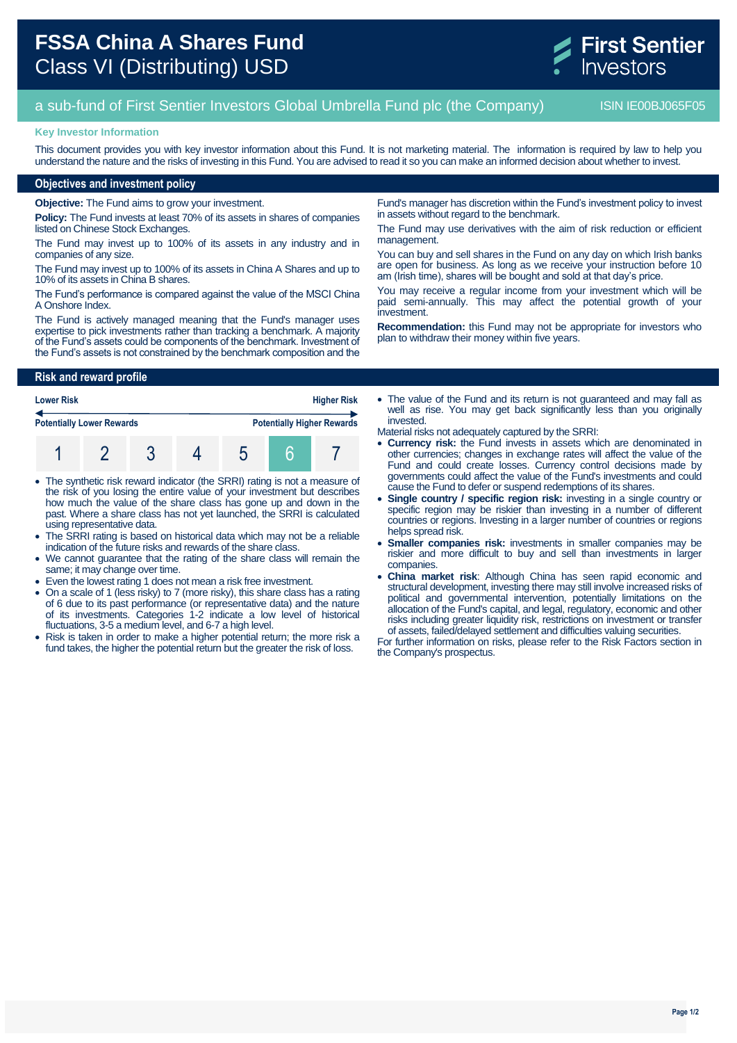

# a sub-fund of First Sentier Investors Global Umbrella Fund plc (the Company) ISIN IE00BJ065F05

#### **Key Investor Information**

This document provides you with key investor information about this Fund. It is not marketing material. The information is required by law to help you understand the nature and the risks of investing in this Fund. You are advised to read it so you can make an informed decision about whether to invest.

## **Objectives and investment policy**

**Objective:** The Fund aims to grow your investment.

**Policy:** The Fund invests at least 70% of its assets in shares of companies listed on Chinese Stock Exchanges.

The Fund may invest up to 100% of its assets in any industry and in companies of any size.

The Fund may invest up to 100% of its assets in China A Shares and up to 10% of its assets in China B shares.

The Fund's performance is compared against the value of the MSCI China A Onshore Index.

The Fund is actively managed meaning that the Fund's manager uses expertise to pick investments rather than tracking a benchmark. A majority of the Fund's assets could be components of the benchmark. Investment of the Fund's assets is not constrained by the benchmark composition and the

Fund's manager has discretion within the Fund's investment policy to invest in assets without regard to the benchmark.

The Fund may use derivatives with the aim of risk reduction or efficient management.

You can buy and sell shares in the Fund on any day on which Irish banks are open for business. As long as we receive your instruction before 10 am (Irish time), shares will be bought and sold at that day's price.

You may receive a regular income from your investment which will be paid semi-annually. This may affect the potential growth of your investment.

**Recommendation:** this Fund may not be appropriate for investors who plan to withdraw their money within five years.

## **Risk and reward profile**

| <b>Lower Risk</b>                |  |  | <b>Higher Risk</b> |                                   |  |  |  |
|----------------------------------|--|--|--------------------|-----------------------------------|--|--|--|
| <b>Potentially Lower Rewards</b> |  |  |                    | <b>Potentially Higher Rewards</b> |  |  |  |
|                                  |  |  |                    |                                   |  |  |  |

- The synthetic risk reward indicator (the SRRI) rating is not a measure of the risk of you losing the entire value of your investment but describes how much the value of the share class has gone up and down in the past. Where a share class has not yet launched, the SRRI is calculated using representative data.
- The SRRI rating is based on historical data which may not be a reliable indication of the future risks and rewards of the share class.
- We cannot guarantee that the rating of the share class will remain the same; it may change over time.
- Even the lowest rating 1 does not mean a risk free investment.
- On a scale of 1 (less risky) to 7 (more risky), this share class has a rating of 6 due to its past performance (or representative data) and the nature of its investments. Categories 1-2 indicate a low level of historical fluctuations, 3-5 a medium level, and 6-7 a high level.
- Risk is taken in order to make a higher potential return; the more risk a fund takes, the higher the potential return but the greater the risk of loss.

 The value of the Fund and its return is not guaranteed and may fall as well as rise. You may get back significantly less than you originally invested.

- Material risks not adequately captured by the SRRI:
- **Currency risk:** the Fund invests in assets which are denominated in other currencies; changes in exchange rates will affect the value of the Fund and could create losses. Currency control decisions made by governments could affect the value of the Fund's investments and could cause the Fund to defer or suspend redemptions of its shares.
- **Single country / specific region risk:** investing in a single country or specific region may be riskier than investing in a number of different countries or regions. Investing in a larger number of countries or regions helps spread risk.
- **Smaller companies risk:** investments in smaller companies may be riskier and more difficult to buy and sell than investments in larger companies.
- **China market risk**: Although China has seen rapid economic and structural development, investing there may still involve increased risks of political and governmental intervention, potentially limitations on the allocation of the Fund's capital, and legal, regulatory, economic and other risks including greater liquidity risk, restrictions on investment or transfer of assets, failed/delayed settlement and difficulties valuing securities.

For further information on risks, please refer to the Risk Factors section in the Company's prospectus.